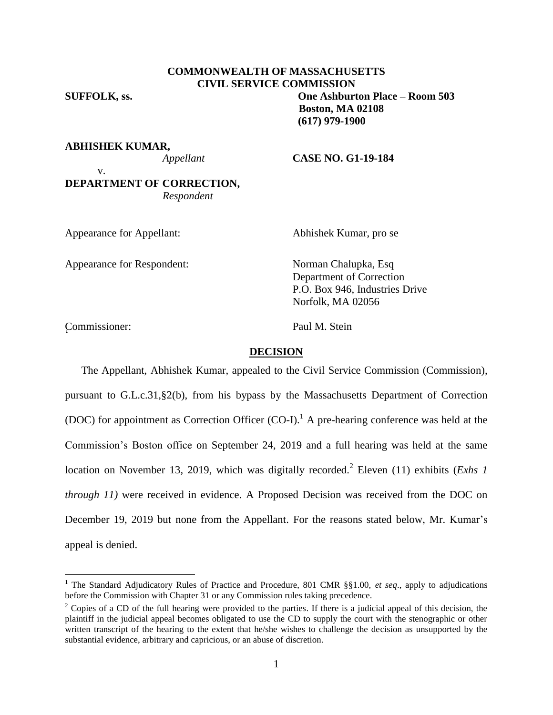# **COMMONWEALTH OF MASSACHUSETTS CIVIL SERVICE COMMISSION**

**SUFFOLK, ss. One Ashburton Place – Room 503**

**Boston, MA 02108 (617) 979-1900**

**ABHISHEK KUMAR,**

#### *Appellant* **CASE NO. G1-19-184**

v. **DEPARTMENT OF CORRECTION,** *Respondent*

Appearance for Appellant: Abhishek Kumar, pro se

Appearance for Respondent: Norman Chalupka, Esq

Department of Correction P.O. Box 946, Industries Drive Norfolk, MA 02056

Commissioner: Paul M. Stein <sup>2</sup>

 $\overline{a}$ 

## **DECISION**

The Appellant, Abhishek Kumar, appealed to the Civil Service Commission (Commission), pursuant to G.L.c.31,§2(b), from his bypass by the Massachusetts Department of Correction (DOC) for appointment as Correction Officer (CO-I).<sup>1</sup> A pre-hearing conference was held at the Commission's Boston office on September 24, 2019 and a full hearing was held at the same location on November 13, 2019, which was digitally recorded.<sup>2</sup> Eleven (11) exhibits (*Exhs 1 through 11)* were received in evidence. A Proposed Decision was received from the DOC on December 19, 2019 but none from the Appellant. For the reasons stated below, Mr. Kumar's appeal is denied.

<sup>&</sup>lt;sup>1</sup> The Standard Adjudicatory Rules of Practice and Procedure, 801 CMR §§1.00, et seq., apply to adjudications before the Commission with Chapter 31 or any Commission rules taking precedence.

 $2$  Copies of a CD of the full hearing were provided to the parties. If there is a judicial appeal of this decision, the plaintiff in the judicial appeal becomes obligated to use the CD to supply the court with the stenographic or other written transcript of the hearing to the extent that he/she wishes to challenge the decision as unsupported by the substantial evidence, arbitrary and capricious, or an abuse of discretion.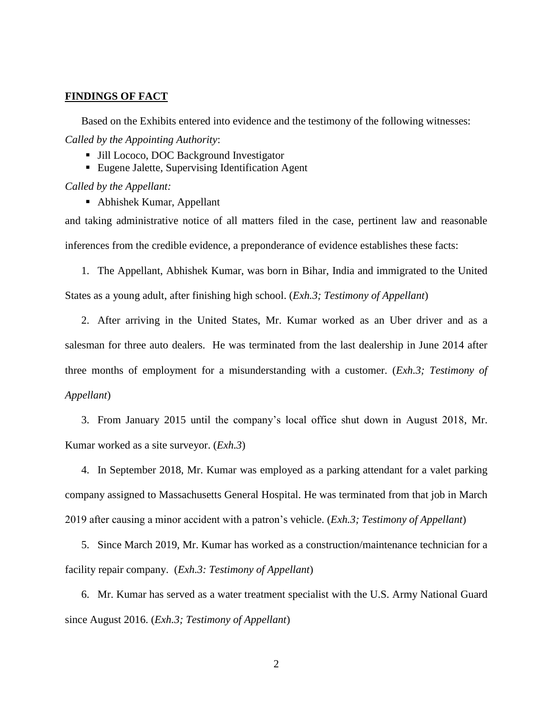## **FINDINGS OF FACT**

Based on the Exhibits entered into evidence and the testimony of the following witnesses: *Called by the Appointing Authority*:

- Jill Lococo, DOC Background Investigator
- Eugene Jalette, Supervising Identification Agent

*Called by the Appellant:*

Abhishek Kumar, Appellant

and taking administrative notice of all matters filed in the case, pertinent law and reasonable inferences from the credible evidence, a preponderance of evidence establishes these facts:

1. The Appellant, Abhishek Kumar, was born in Bihar, India and immigrated to the United States as a young adult, after finishing high school. (*Exh.3; Testimony of Appellant*)

2. After arriving in the United States, Mr. Kumar worked as an Uber driver and as a salesman for three auto dealers. He was terminated from the last dealership in June 2014 after three months of employment for a misunderstanding with a customer. (*Exh.3; Testimony of Appellant*)

3. From January 2015 until the company's local office shut down in August 2018, Mr. Kumar worked as a site surveyor. (*Exh.3*)

4. In September 2018, Mr. Kumar was employed as a parking attendant for a valet parking company assigned to Massachusetts General Hospital. He was terminated from that job in March 2019 after causing a minor accident with a patron's vehicle. (*Exh.3; Testimony of Appellant*)

5. Since March 2019, Mr. Kumar has worked as a construction/maintenance technician for a facility repair company. (*Exh.3: Testimony of Appellant*)

6. Mr. Kumar has served as a water treatment specialist with the U.S. Army National Guard since August 2016. (*Exh.3; Testimony of Appellant*)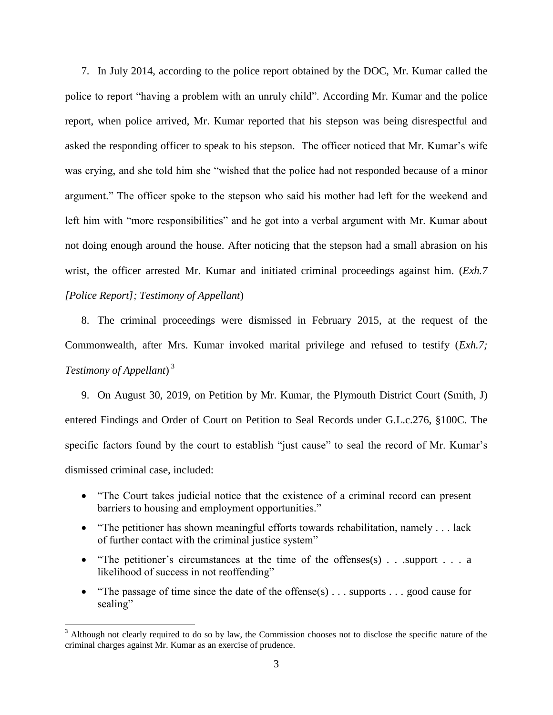7. In July 2014, according to the police report obtained by the DOC, Mr. Kumar called the police to report "having a problem with an unruly child". According Mr. Kumar and the police report, when police arrived, Mr. Kumar reported that his stepson was being disrespectful and asked the responding officer to speak to his stepson. The officer noticed that Mr. Kumar's wife was crying, and she told him she "wished that the police had not responded because of a minor argument." The officer spoke to the stepson who said his mother had left for the weekend and left him with "more responsibilities" and he got into a verbal argument with Mr. Kumar about not doing enough around the house. After noticing that the stepson had a small abrasion on his wrist, the officer arrested Mr. Kumar and initiated criminal proceedings against him. (*Exh.7 [Police Report]; Testimony of Appellant*)

8. The criminal proceedings were dismissed in February 2015, at the request of the Commonwealth, after Mrs. Kumar invoked marital privilege and refused to testify (*Exh.7; Testimony of Appellant*) 3

9. On August 30, 2019, on Petition by Mr. Kumar, the Plymouth District Court (Smith, J) entered Findings and Order of Court on Petition to Seal Records under G.L.c.276, §100C. The specific factors found by the court to establish "just cause" to seal the record of Mr. Kumar's dismissed criminal case, included:

- "The Court takes judicial notice that the existence of a criminal record can present barriers to housing and employment opportunities."
- "The petitioner has shown meaningful efforts towards rehabilitation, namely . . . lack of further contact with the criminal justice system"
- "The petitioner's circumstances at the time of the offenses $(s)$ ... support ... a likelihood of success in not reoffending"
- "The passage of time since the date of the offense(s)  $\ldots$  supports  $\ldots$  good cause for sealing"

 $\overline{a}$ 

<sup>&</sup>lt;sup>3</sup> Although not clearly required to do so by law, the Commission chooses not to disclose the specific nature of the criminal charges against Mr. Kumar as an exercise of prudence.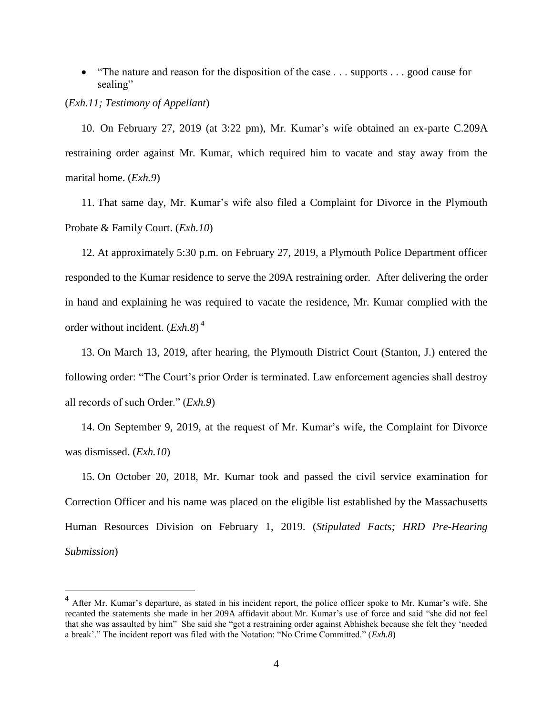"The nature and reason for the disposition of the case . . . supports . . . good cause for sealing"

(*Exh.11; Testimony of Appellant*)

 $\overline{a}$ 

10. On February 27, 2019 (at 3:22 pm), Mr. Kumar's wife obtained an ex-parte C.209A restraining order against Mr. Kumar, which required him to vacate and stay away from the marital home. (*Exh.9*)

11. That same day, Mr. Kumar's wife also filed a Complaint for Divorce in the Plymouth Probate & Family Court. (*Exh.10*)

12. At approximately 5:30 p.m. on February 27, 2019, a Plymouth Police Department officer responded to the Kumar residence to serve the 209A restraining order. After delivering the order in hand and explaining he was required to vacate the residence, Mr. Kumar complied with the order without incident. (*Exh.8*) 4

13. On March 13, 2019, after hearing, the Plymouth District Court (Stanton, J.) entered the following order: "The Court's prior Order is terminated. Law enforcement agencies shall destroy all records of such Order." (*Exh.9*)

14. On September 9, 2019, at the request of Mr. Kumar's wife, the Complaint for Divorce was dismissed. (*Exh.10*)

15. On October 20, 2018, Mr. Kumar took and passed the civil service examination for Correction Officer and his name was placed on the eligible list established by the Massachusetts Human Resources Division on February 1, 2019. (*Stipulated Facts; HRD Pre-Hearing Submission*)

<sup>4</sup> After Mr. Kumar's departure, as stated in his incident report, the police officer spoke to Mr. Kumar's wife. She recanted the statements she made in her 209A affidavit about Mr. Kumar's use of force and said "she did not feel that she was assaulted by him" She said she "got a restraining order against Abhishek because she felt they 'needed a break'." The incident report was filed with the Notation: "No Crime Committed." (*Exh.8*)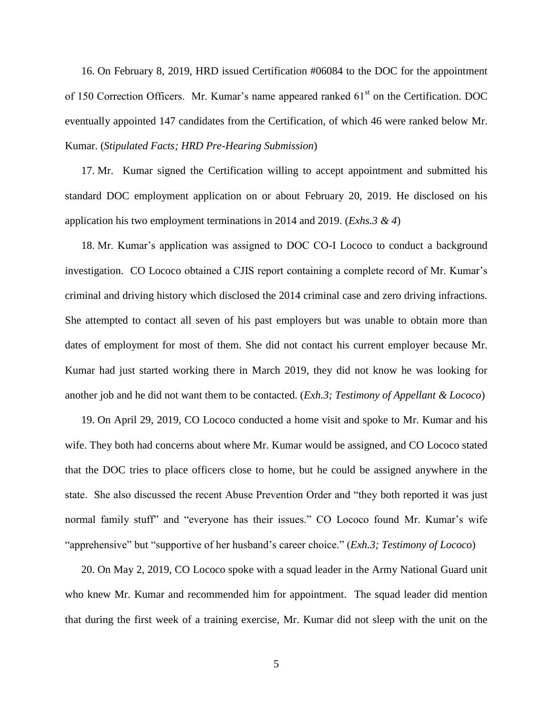16. On February 8, 2019, HRD issued Certification #06084 to the DOC for the appointment of 150 Correction Officers. Mr. Kumar's name appeared ranked 61<sup>st</sup> on the Certification. DOC eventually appointed 147 candidates from the Certification, of which 46 were ranked below Mr. Kumar. (*Stipulated Facts; HRD Pre-Hearing Submission*)

17. Mr. Kumar signed the Certification willing to accept appointment and submitted his standard DOC employment application on or about February 20, 2019. He disclosed on his application his two employment terminations in 2014 and 2019. (*Exhs.3 & 4*)

18. Mr. Kumar's application was assigned to DOC CO-I Lococo to conduct a background investigation. CO Lococo obtained a CJIS report containing a complete record of Mr. Kumar's criminal and driving history which disclosed the 2014 criminal case and zero driving infractions. She attempted to contact all seven of his past employers but was unable to obtain more than dates of employment for most of them. She did not contact his current employer because Mr. Kumar had just started working there in March 2019, they did not know he was looking for another job and he did not want them to be contacted. (*Exh.3; Testimony of Appellant & Lococo*)

19. On April 29, 2019, CO Lococo conducted a home visit and spoke to Mr. Kumar and his wife. They both had concerns about where Mr. Kumar would be assigned, and CO Lococo stated that the DOC tries to place officers close to home, but he could be assigned anywhere in the state. She also discussed the recent Abuse Prevention Order and "they both reported it was just normal family stuff" and "everyone has their issues." CO Lococo found Mr. Kumar's wife "apprehensive" but "supportive of her husband's career choice." (*Exh.3; Testimony of Lococo*)

20. On May 2, 2019, CO Lococo spoke with a squad leader in the Army National Guard unit who knew Mr. Kumar and recommended him for appointment. The squad leader did mention that during the first week of a training exercise, Mr. Kumar did not sleep with the unit on the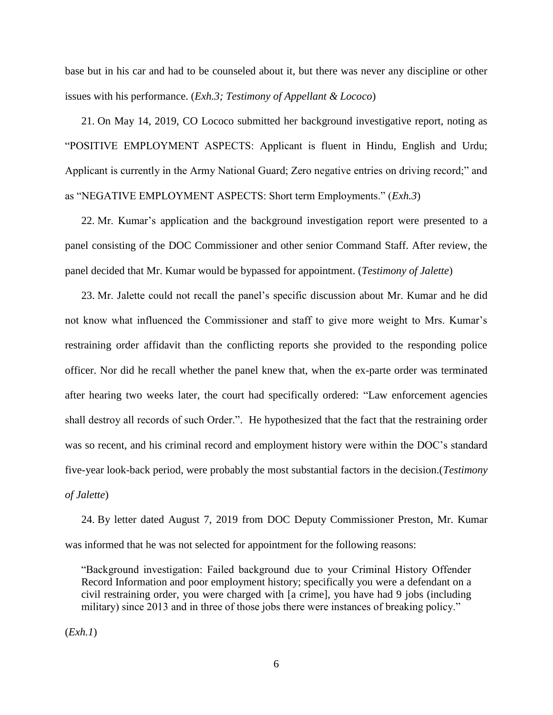base but in his car and had to be counseled about it, but there was never any discipline or other issues with his performance. (*Exh.3; Testimony of Appellant & Lococo*)

21. On May 14, 2019, CO Lococo submitted her background investigative report, noting as "POSITIVE EMPLOYMENT ASPECTS: Applicant is fluent in Hindu, English and Urdu; Applicant is currently in the Army National Guard; Zero negative entries on driving record;" and as "NEGATIVE EMPLOYMENT ASPECTS: Short term Employments." (*Exh.3*)

22. Mr. Kumar's application and the background investigation report were presented to a panel consisting of the DOC Commissioner and other senior Command Staff. After review, the panel decided that Mr. Kumar would be bypassed for appointment. (*Testimony of Jalette*)

23. Mr. Jalette could not recall the panel's specific discussion about Mr. Kumar and he did not know what influenced the Commissioner and staff to give more weight to Mrs. Kumar's restraining order affidavit than the conflicting reports she provided to the responding police officer. Nor did he recall whether the panel knew that, when the ex-parte order was terminated after hearing two weeks later, the court had specifically ordered: "Law enforcement agencies shall destroy all records of such Order.". He hypothesized that the fact that the restraining order was so recent, and his criminal record and employment history were within the DOC's standard five-year look-back period, were probably the most substantial factors in the decision.(*Testimony of Jalette*)

24. By letter dated August 7, 2019 from DOC Deputy Commissioner Preston, Mr. Kumar was informed that he was not selected for appointment for the following reasons:

"Background investigation: Failed background due to your Criminal History Offender Record Information and poor employment history; specifically you were a defendant on a civil restraining order, you were charged with [a crime], you have had 9 jobs (including military) since 2013 and in three of those jobs there were instances of breaking policy."

(*Exh.1*)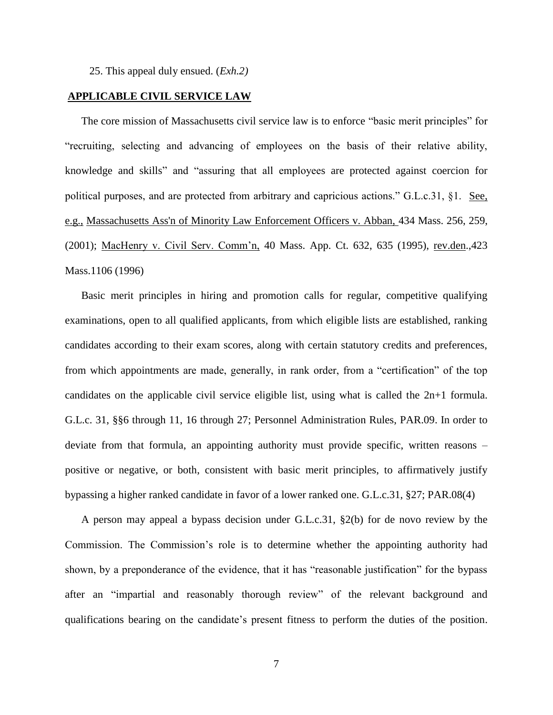25. This appeal duly ensued. (*Exh.2)*

# **APPLICABLE CIVIL SERVICE LAW**

The core mission of Massachusetts civil service law is to enforce "basic merit principles" for "recruiting, selecting and advancing of employees on the basis of their relative ability, knowledge and skills" and "assuring that all employees are protected against coercion for political purposes, and are protected from arbitrary and capricious actions." G.L.c.31, §1. See, e.g., [Massachusetts Ass'n of Minority Law Enforcement Officers v. Abban,](http://web2.westlaw.com/find/default.wl?mt=Massachusetts&db=578&rs=WLW15.04&tc=-1&rp=%2ffind%2fdefault.wl&findtype=Y&ordoc=2029136022&serialnum=2001441097&vr=2.0&fn=_top&sv=Split&tf=-1&pbc=70F732C1&utid=1) 434 Mass. 256, 259, [\(2001\);](http://web2.westlaw.com/find/default.wl?mt=Massachusetts&db=578&rs=WLW15.04&tc=-1&rp=%2ffind%2fdefault.wl&findtype=Y&ordoc=2029136022&serialnum=2001441097&vr=2.0&fn=_top&sv=Split&tf=-1&pbc=70F732C1&utid=1) MacHenry v. Civil Serv. Comm'n, 40 Mass. App. Ct. 632, 635 (1995), rev.den.,423 Mass.1106 (1996)

Basic merit principles in hiring and promotion calls for regular, competitive qualifying examinations, open to all qualified applicants, from which eligible lists are established, ranking candidates according to their exam scores, along with certain statutory credits and preferences, from which appointments are made, generally, in rank order, from a "certification" of the top candidates on the applicable civil service eligible list, using what is called the 2n+1 formula. G.L.c. 31, §§6 through 11, 16 through 27; Personnel Administration Rules, PAR.09. In order to deviate from that formula, an appointing authority must provide specific, written reasons – positive or negative, or both, consistent with basic merit principles, to affirmatively justify bypassing a higher ranked candidate in favor of a lower ranked one. G.L.c.31, §27; PAR.08(4)

A person may appeal a bypass decision under G.L.c.31, §2(b) for de novo review by the Commission. The Commission's role is to determine whether the appointing authority had shown, by a preponderance of the evidence, that it has "reasonable justification" for the bypass after an "impartial and reasonably thorough review" of the relevant background and qualifications bearing on the candidate's present fitness to perform the duties of the position.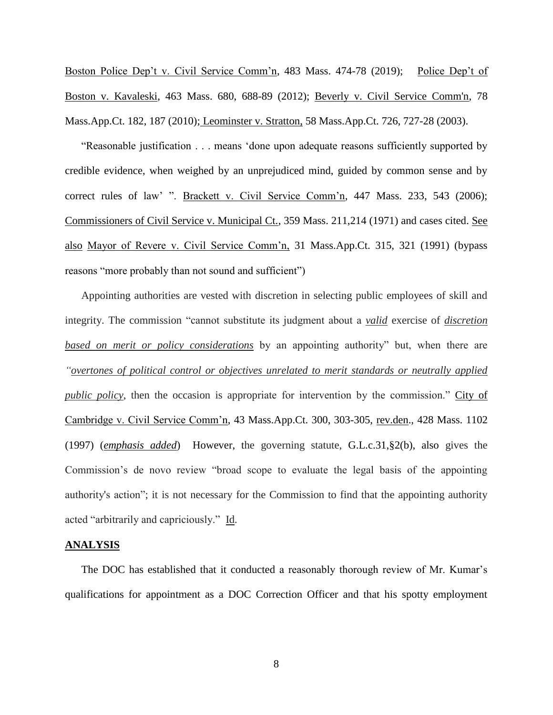Boston Police Dep't v. Civil Service Comm'n, 483 Mass. 474-78 (2019); Police Dep't of Boston v. Kavaleski, 463 Mass. 680, 688-89 (2012); [Beverly v. Civil Service Comm'n, 78](http://web2.westlaw.com/find/default.wl?mt=Massachusetts&db=578&rs=WLW15.04&tc=-1&rp=%2ffind%2fdefault.wl&findtype=Y&ordoc=2029136022&serialnum=2023501172&vr=2.0&fn=_top&sv=Split&tf=-1&pbc=70F732C1&utid=1)  [Mass.App.Ct. 182, 187 \(2010\);](http://web2.westlaw.com/find/default.wl?mt=Massachusetts&db=578&rs=WLW15.04&tc=-1&rp=%2ffind%2fdefault.wl&findtype=Y&ordoc=2029136022&serialnum=2023501172&vr=2.0&fn=_top&sv=Split&tf=-1&pbc=70F732C1&utid=1) Leominster v. Stratton, 58 Mass.App.Ct. 726, 727-28 (2003).

"Reasonable justification . . . means 'done upon adequate reasons sufficiently supported by credible evidence, when weighed by an unprejudiced mind, guided by common sense and by correct rules of law' ". Brackett v. Civil Service Comm'n, 447 Mass. 233, 543 (2006); Commissioners of Civil Service v. Municipal Ct., 359 Mass. 211,214 (1971) and cases cited. See also Mayor of Revere v. Civil Service Comm'n, 31 Mass.App.Ct. 315, 321 (1991) (bypass reasons "more probably than not sound and sufficient")

Appointing authorities are vested with discretion in selecting public employees of skill and integrity. The commission "cannot substitute its judgment about a *valid* exercise of *discretion based on merit or policy considerations* by an appointing authority" but, when there are *"overtones of political control or objectives unrelated to merit standards or neutrally applied public policy*, then the occasion is appropriate for intervention by the commission." City of Cambridge v. Civil Service Comm'n, 43 Mass.App.Ct. 300, 303-305, rev.den., 428 Mass. 1102 (1997) (*emphasis added*) However, the governing statute, [G.L.c.31,§2\(b\),](https://1.next.westlaw.com/Link/Document/FullText?findType=L&pubNum=1000042&cite=MAST31S2&originatingDoc=Ib21af0ded3bd11d99439b076ef9ec4de&refType=LQ&originationContext=document&transitionType=DocumentItem&contextData=(sc.History*oc.UserEnteredCitation)) also gives the Commission's de novo review "broad scope to evaluate the legal basis of the appointing authority's action"; it is not necessary for the Commission to find that the appointing authority acted "arbitrarily and capriciously." Id.

#### **ANALYSIS**

The DOC has established that it conducted a reasonably thorough review of Mr. Kumar's qualifications for appointment as a DOC Correction Officer and that his spotty employment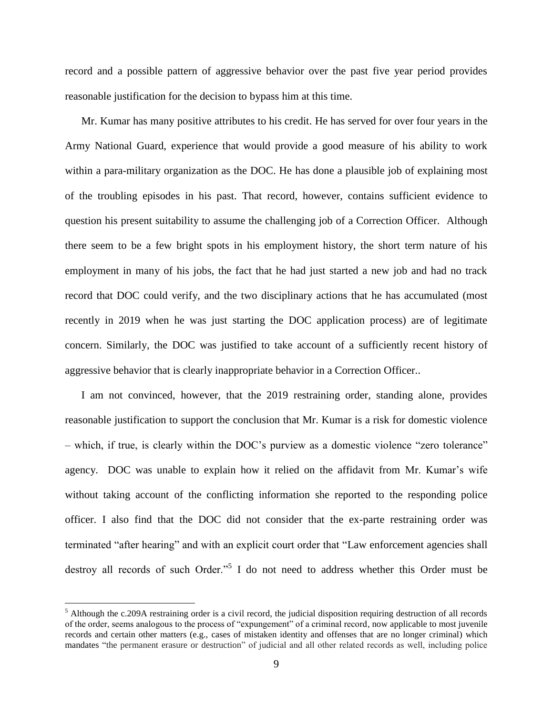record and a possible pattern of aggressive behavior over the past five year period provides reasonable justification for the decision to bypass him at this time.

Mr. Kumar has many positive attributes to his credit. He has served for over four years in the Army National Guard, experience that would provide a good measure of his ability to work within a para-military organization as the DOC. He has done a plausible job of explaining most of the troubling episodes in his past. That record, however, contains sufficient evidence to question his present suitability to assume the challenging job of a Correction Officer. Although there seem to be a few bright spots in his employment history, the short term nature of his employment in many of his jobs, the fact that he had just started a new job and had no track record that DOC could verify, and the two disciplinary actions that he has accumulated (most recently in 2019 when he was just starting the DOC application process) are of legitimate concern. Similarly, the DOC was justified to take account of a sufficiently recent history of aggressive behavior that is clearly inappropriate behavior in a Correction Officer..

I am not convinced, however, that the 2019 restraining order, standing alone, provides reasonable justification to support the conclusion that Mr. Kumar is a risk for domestic violence – which, if true, is clearly within the DOC's purview as a domestic violence "zero tolerance" agency. DOC was unable to explain how it relied on the affidavit from Mr. Kumar's wife without taking account of the conflicting information she reported to the responding police officer. I also find that the DOC did not consider that the ex-parte restraining order was terminated "after hearing" and with an explicit court order that "Law enforcement agencies shall destroy all records of such Order."<sup>5</sup> I do not need to address whether this Order must be

 $\overline{a}$ 

 $<sup>5</sup>$  Although the c.209A restraining order is a civil record, the judicial disposition requiring destruction of all records</sup> of the order, seems analogous to the process of "expungement" of a criminal record, now applicable to most juvenile records and certain other matters (e.g., cases of mistaken identity and offenses that are no longer criminal) which mandates "the permanent erasure or destruction" of judicial and all other related records as well, including police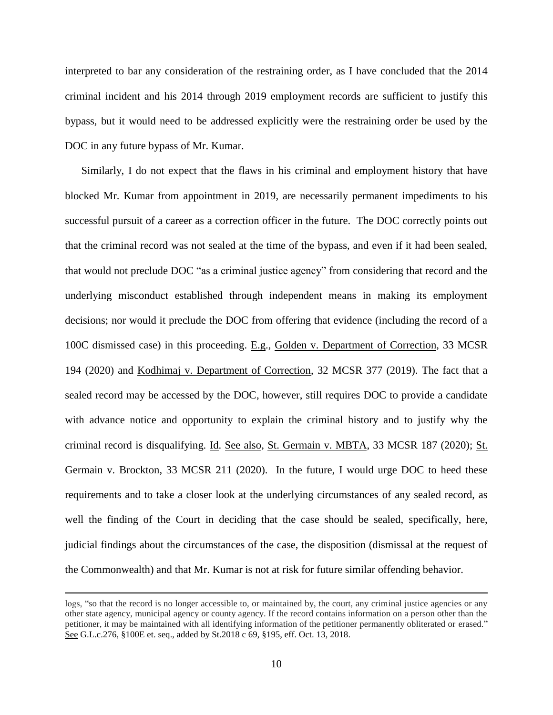interpreted to bar any consideration of the restraining order, as I have concluded that the 2014 criminal incident and his 2014 through 2019 employment records are sufficient to justify this bypass, but it would need to be addressed explicitly were the restraining order be used by the DOC in any future bypass of Mr. Kumar.

Similarly, I do not expect that the flaws in his criminal and employment history that have blocked Mr. Kumar from appointment in 2019, are necessarily permanent impediments to his successful pursuit of a career as a correction officer in the future. The DOC correctly points out that the criminal record was not sealed at the time of the bypass, and even if it had been sealed, that would not preclude DOC "as a criminal justice agency" from considering that record and the underlying misconduct established through independent means in making its employment decisions; nor would it preclude the DOC from offering that evidence (including the record of a 100C dismissed case) in this proceeding. E.g., Golden v. Department of Correction, 33 MCSR 194 (2020) and Kodhimaj v. Department of Correction, 32 MCSR 377 (2019). The fact that a sealed record may be accessed by the DOC, however, still requires DOC to provide a candidate with advance notice and opportunity to explain the criminal history and to justify why the criminal record is disqualifying. Id. See also, St. Germain v. MBTA, 33 MCSR 187 (2020); St. Germain v. Brockton, 33 MCSR 211 (2020). In the future, I would urge DOC to heed these requirements and to take a closer look at the underlying circumstances of any sealed record, as well the finding of the Court in deciding that the case should be sealed, specifically, here, judicial findings about the circumstances of the case, the disposition (dismissal at the request of the Commonwealth) and that Mr. Kumar is not at risk for future similar offending behavior.

 $\overline{a}$ 

logs, "so that the record is no longer accessible to, or maintained by, the court, any criminal justice agencies or any other state agency, municipal agency or county agency. If the record contains information on a person other than the petitioner, it may be maintained with all identifying information of the petitioner permanently obliterated or erased." See G.L.c.276, §100E et. seq., added by St.2018 c 69, §195, [eff. Oct. 13, 2018.](https://1.next.westlaw.com/Link/Document/FullText?findType=l&pubNum=1077005&cite=UUID(I0C1F990044-2B11E8994DF-A89B0D54A4C)&originatingDoc=NEC8132F04EFE11E8BA478209A3F344DF&refType=SL&originationContext=document&transitionType=DocumentItem&contextData=(sc.Category))